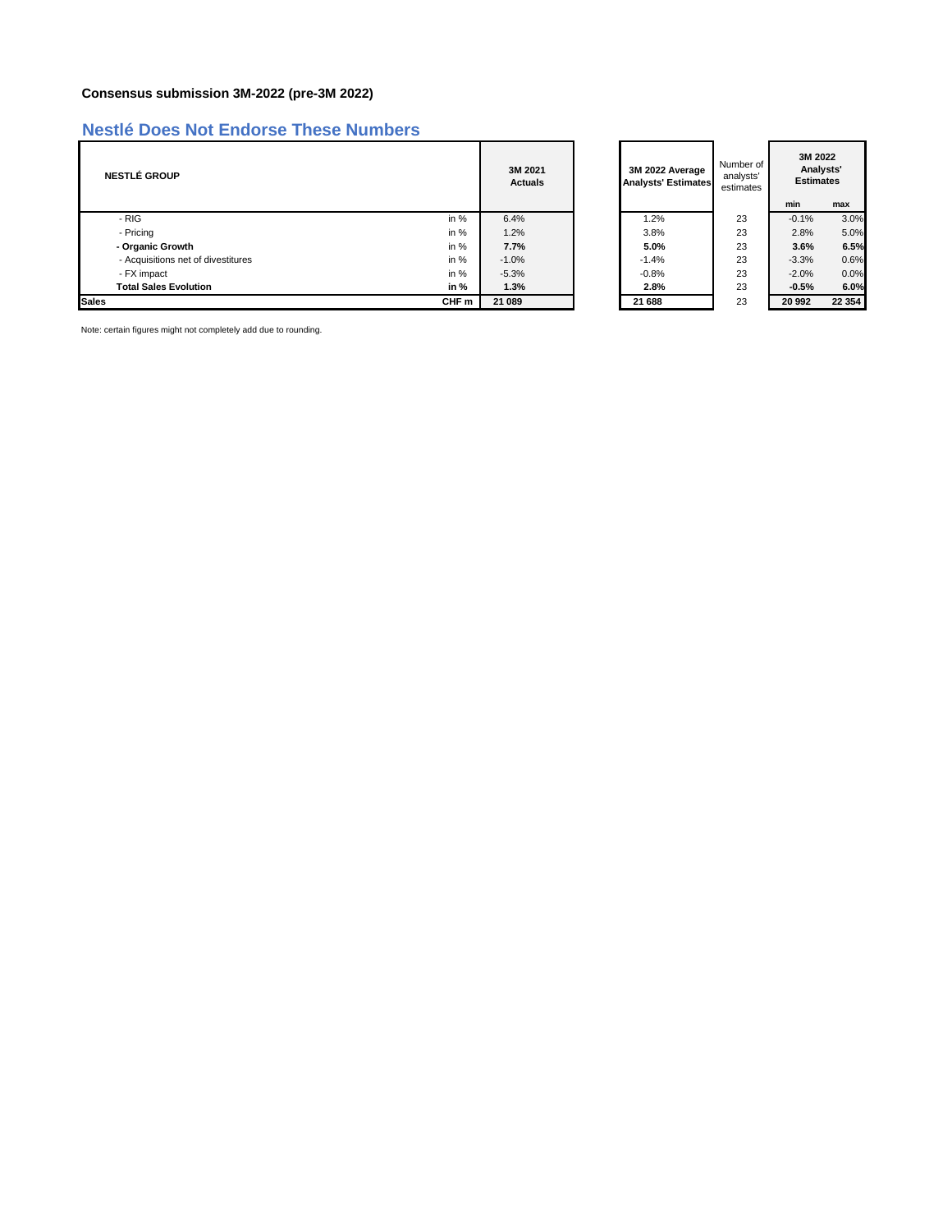## **Consensus submission 3M-2022 (pre-3M 2022)**

## **Nestlé Does Not Endorse These Numbers**

| <b>NESTLÉ GROUP</b>                |        | 3M 2021<br><b>Actuals</b> | 3M 2022 Average<br><b>Analysts' Estimates</b> | Number of<br>analysts'<br>estimates | 3M 2022<br>Analysts'<br><b>Estimates</b> |         |
|------------------------------------|--------|---------------------------|-----------------------------------------------|-------------------------------------|------------------------------------------|---------|
|                                    |        |                           |                                               |                                     | min                                      | max     |
| - RIG                              | in $%$ | 6.4%                      | 1.2%                                          | 23                                  | $-0.1%$                                  | 3.0%    |
| - Pricing                          | in $%$ | 1.2%                      | 3.8%                                          | 23                                  | 2.8%                                     | 5.0%    |
| - Organic Growth                   | in $%$ | 7.7%                      | 5.0%                                          | 23                                  | 3.6%                                     | 6.5%    |
| - Acquisitions net of divestitures | in $%$ | $-1.0%$                   | $-1.4%$                                       | 23                                  | $-3.3%$                                  | 0.6%    |
| - FX impact                        | in $%$ | $-5.3%$                   | $-0.8%$                                       | 23                                  | $-2.0%$                                  | 0.0%    |
| <b>Total Sales Evolution</b>       | in $%$ | 1.3%                      | 2.8%                                          | 23                                  | $-0.5%$                                  | 6.0%    |
| <b>Sales</b>                       | CHF m  | 21 089                    | 21 688                                        | 23                                  | 20 992                                   | 22 3 54 |

Note: certain figures might not completely add due to rounding.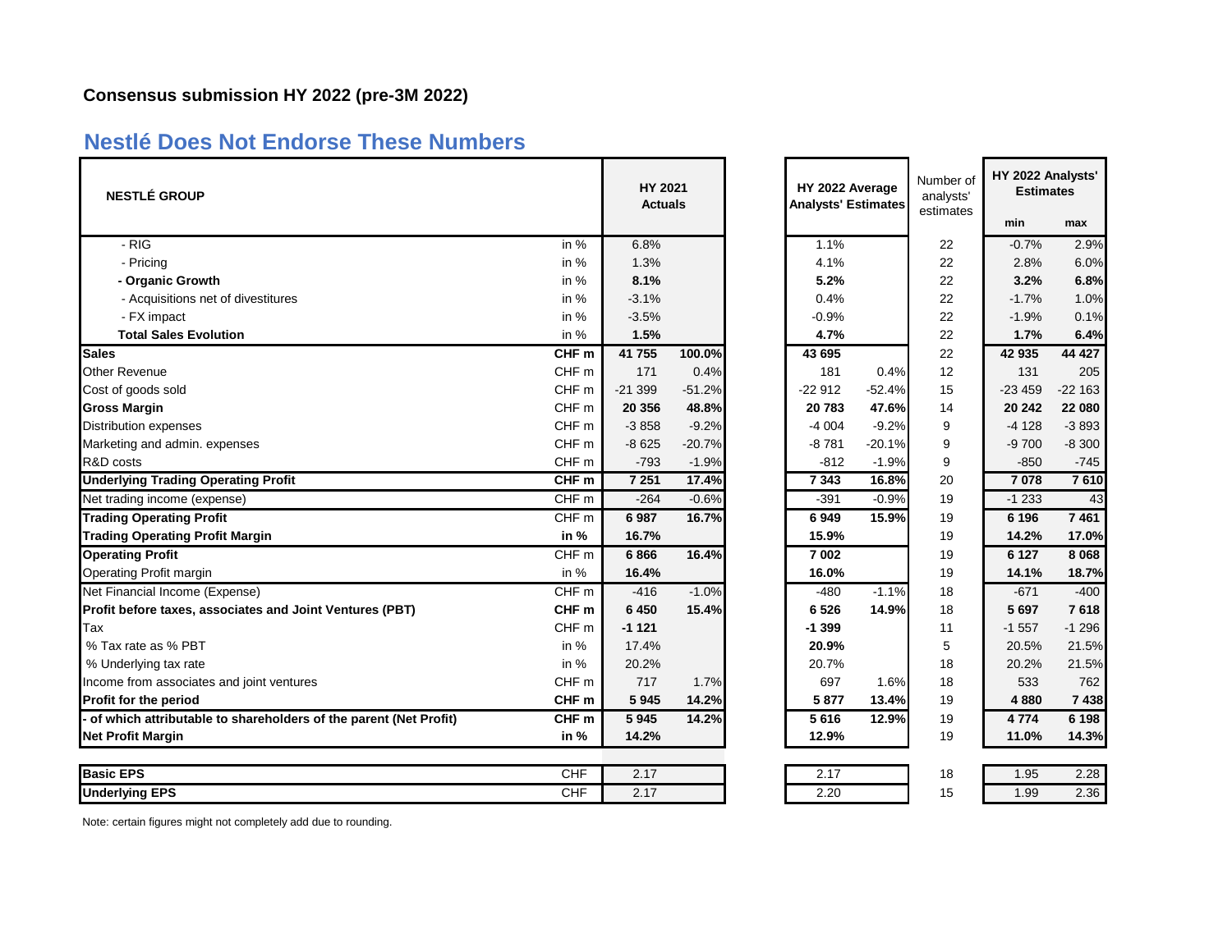## **Nestlé Does Not Endorse These Numbers**

| <b>NESTLÉ GROUP</b>                                              |                  | HY 2021<br><b>Actuals</b> |          |          | HY 2022 Average<br><b>Analysts' Estimates</b> |    | HY 2022 Analysts'<br><b>Estimates</b> |          |
|------------------------------------------------------------------|------------------|---------------------------|----------|----------|-----------------------------------------------|----|---------------------------------------|----------|
|                                                                  |                  |                           |          |          |                                               |    | min                                   | max      |
| - RIG                                                            | in %             | 6.8%                      |          | 1.1%     |                                               | 22 | $-0.7%$                               | 2.9%     |
| - Pricing                                                        | in $%$           | 1.3%                      |          | 4.1%     |                                               | 22 | 2.8%                                  | 6.0%     |
| - Organic Growth                                                 | in %             | 8.1%                      |          | 5.2%     |                                               | 22 | 3.2%                                  | 6.8%     |
| - Acquisitions net of divestitures                               | in %             | $-3.1%$                   |          | 0.4%     |                                               | 22 | $-1.7%$                               | 1.0%     |
| - FX impact                                                      | in $%$           | $-3.5%$                   |          | $-0.9%$  |                                               | 22 | $-1.9%$                               | 0.1%     |
| <b>Total Sales Evolution</b>                                     | in %             | 1.5%                      |          | 4.7%     |                                               | 22 | 1.7%                                  | 6.4%     |
| <b>Sales</b>                                                     | CHF <sub>m</sub> | 41 755                    | 100.0%   | 43 695   |                                               | 22 | 42 935                                | 44 4 27  |
| <b>Other Revenue</b>                                             | CHF <sub>m</sub> | 171                       | 0.4%     | 181      | 0.4%                                          | 12 | 131                                   | 205      |
| Cost of goods sold                                               | CHF <sub>m</sub> | $-21399$                  | $-51.2%$ | $-22912$ | $-52.4%$                                      | 15 | $-23459$                              | $-22163$ |
| <b>Gross Margin</b>                                              | CHF <sub>m</sub> | 20 35 6                   | 48.8%    | 20783    | 47.6%                                         | 14 | 20 24 2                               | 22 080   |
| <b>Distribution expenses</b>                                     | CHF <sub>m</sub> | $-3858$                   | $-9.2%$  | $-4004$  | $-9.2%$                                       | 9  | $-4128$                               | $-3893$  |
| Marketing and admin. expenses                                    | CHF m            | $-8625$                   | $-20.7%$ | $-8781$  | $-20.1%$                                      | 9  | $-9700$                               | $-8300$  |
| R&D costs                                                        | CHF <sub>m</sub> | $-793$                    | $-1.9%$  | $-812$   | $-1.9%$                                       | 9  | $-850$                                | $-745$   |
| <b>Underlying Trading Operating Profit</b>                       | CHF <sub>m</sub> | 7 2 5 1                   | 17.4%    | 7343     | 16.8%                                         | 20 | 7078                                  | 7610     |
| Net trading income (expense)                                     | CHF <sub>m</sub> | $-264$                    | $-0.6%$  | $-391$   | $-0.9%$                                       | 19 | $-1233$                               | 43       |
| <b>Trading Operating Profit</b>                                  | $CHF$ m          | 6987                      | 16.7%    | 6949     | 15.9%                                         | 19 | 6 196                                 | 7461     |
| <b>Trading Operating Profit Margin</b>                           | in $%$           | 16.7%                     |          | 15.9%    |                                               | 19 | 14.2%                                 | 17.0%    |
| <b>Operating Profit</b>                                          | CHF <sub>m</sub> | 6866                      | 16.4%    | 7 002    |                                               | 19 | 6 1 2 7                               | 8 0 6 8  |
| Operating Profit margin                                          | in %             | 16.4%                     |          | 16.0%    |                                               | 19 | 14.1%                                 | 18.7%    |
| Net Financial Income (Expense)                                   | CHF <sub>m</sub> | $-416$                    | $-1.0%$  | $-480$   | $-1.1%$                                       | 18 | $-671$                                | $-400$   |
| Profit before taxes, associates and Joint Ventures (PBT)         | CHF <sub>m</sub> | 6 4 5 0                   | 15.4%    | 6526     | 14.9%                                         | 18 | 5697                                  | 7618     |
| Tax                                                              | CHF <sub>m</sub> | $-1121$                   |          | $-1399$  |                                               | 11 | $-1557$                               | $-1296$  |
| % Tax rate as % PBT                                              | in $%$           | 17.4%                     |          | 20.9%    |                                               | 5  | 20.5%                                 | 21.5%    |
| % Underlying tax rate                                            | in %             | 20.2%                     |          | 20.7%    |                                               | 18 | 20.2%                                 | 21.5%    |
| Income from associates and joint ventures                        | CHF <sub>m</sub> | 717                       | 1.7%     | 697      | 1.6%                                          | 18 | 533                                   | 762      |
| Profit for the period                                            | CHF <sub>m</sub> | 5945                      | 14.2%    | 5877     | 13.4%                                         | 19 | 4880                                  | 7438     |
| of which attributable to shareholders of the parent (Net Profit) | CHF <sub>m</sub> | 5945                      | 14.2%    | 5616     | 12.9%                                         | 19 | 4774                                  | 6 1 9 8  |
| <b>Net Profit Margin</b>                                         | in %             | 14.2%                     |          | 12.9%    |                                               | 19 | 11.0%                                 | 14.3%    |
| <b>Basic EPS</b>                                                 | <b>CHF</b>       | 2.17                      |          | 2.17     |                                               | 18 | 1.95                                  | 2.28     |
| <b>Underlying EPS</b>                                            | CHF              | 2.17                      |          | 2.20     |                                               | 15 | 1.99                                  | 2.36     |

| HY 2022 Average<br><b>Analysts' Estimates</b> |          | Number of<br>analysts'<br>estimates | HY 2022 Analysts'<br><b>Estimates</b> |          |  |  |
|-----------------------------------------------|----------|-------------------------------------|---------------------------------------|----------|--|--|
|                                               |          |                                     | min                                   | max      |  |  |
| 1.1%                                          |          | 22                                  | $-0.7%$                               | 2.9%     |  |  |
| 4.1%                                          |          | 22                                  | 2.8%                                  | 6.0%     |  |  |
| 5.2%                                          |          | 22                                  | 3.2%                                  | 6.8%     |  |  |
| 0.4%                                          |          | 22                                  | $-1.7%$                               | 1.0%     |  |  |
| $-0.9%$                                       |          | 22                                  | $-1.9%$                               | 0.1%     |  |  |
| 4.7%                                          |          | 22                                  | 1.7%                                  | 6.4%     |  |  |
| 43 695                                        |          | 22                                  | 42 935                                | 44 4 27  |  |  |
| 181                                           | 0.4%     | 12                                  | 131                                   | 205      |  |  |
| $-22912$                                      | $-52.4%$ | 15                                  | $-23459$                              | $-22163$ |  |  |
| 20783                                         | 47.6%    | 14                                  | 20 24 2                               | 22 080   |  |  |
| $-4004$                                       | $-9.2%$  | 9                                   | $-4128$                               | $-3893$  |  |  |
| $-8781$                                       | $-20.1%$ | 9                                   | $-9700$                               | $-8300$  |  |  |
| $-812$                                        | $-1.9%$  | 9                                   | $-850$                                | $-745$   |  |  |
| 7343                                          | 16.8%    | 20                                  | 7078                                  | 7610     |  |  |
| $-391$                                        | $-0.9%$  | 19                                  | $-1233$                               | 43       |  |  |
| 6949                                          | 15.9%    | 19                                  | 6 196                                 | 7461     |  |  |
| 15.9%                                         |          | 19                                  | 14.2%                                 | 17.0%    |  |  |
| 7 002                                         |          | 19                                  | 6 1 2 7                               | 8 0 6 8  |  |  |
| 16.0%                                         |          | 19                                  | 14.1%                                 | 18.7%    |  |  |
| $-480$                                        | $-1.1%$  | 18                                  | $-671$                                | $-400$   |  |  |
| 6526                                          | 14.9%    | 18                                  | 5 6 9 7                               | 7618     |  |  |
| $-1399$                                       |          | 11                                  | $-1557$                               | $-1296$  |  |  |
| 20.9%                                         |          | 5                                   | 20.5%                                 | 21.5%    |  |  |
| 20.7%                                         |          | 18                                  | 20.2%                                 | 21.5%    |  |  |
| 697                                           | 1.6%     | 18                                  | 533                                   | 762      |  |  |
| 5877                                          | 13.4%    | 19                                  | 4880                                  | 7438     |  |  |
| 5616                                          | 12.9%    | 19                                  | 4 7 7 4                               | 6 1 9 8  |  |  |
| 12.9%                                         |          | 19                                  | 11.0%                                 | 14.3%    |  |  |
|                                               |          |                                     |                                       |          |  |  |
| 2.17                                          |          | 18                                  | 1.95                                  | 2.28     |  |  |

Note: certain figures might not completely add due to rounding.